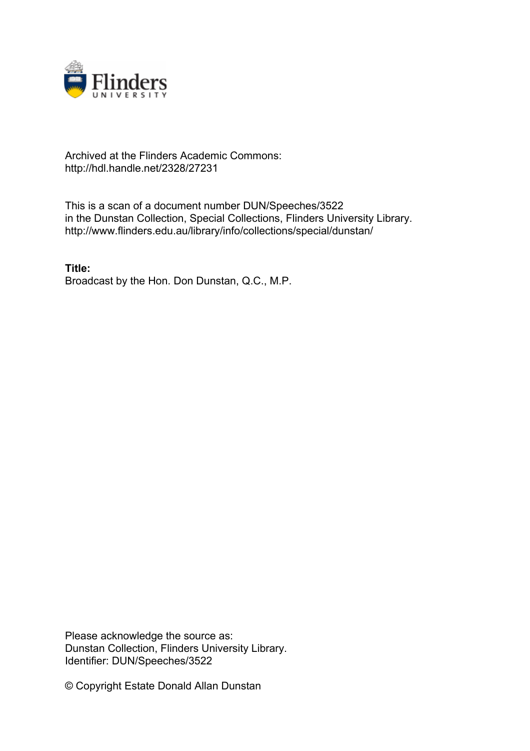

## Archived at the Flinders Academic Commons: http://hdl.handle.net/2328/27231

This is a scan of a document number DUN/Speeches/3522 in the Dunstan Collection, Special Collections, Flinders University Library. http://www.flinders.edu.au/library/info/collections/special/dunstan/

**Title:** Broadcast by the Hon. Don Dunstan, Q.C., M.P.

Please acknowledge the source as: Dunstan Collection, Flinders University Library. Identifier: DUN/Speeches/3522

© Copyright Estate Donald Allan Dunstan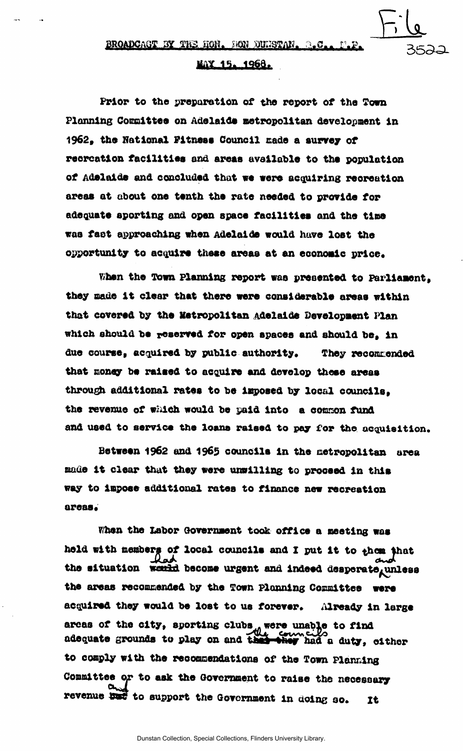$File$ 

## <u>MAX 15. 1968.</u>

Prior to the preparation of the report of the Town Planning Committee on Adelaide metropolitan development in 1962, the National Fitness Council cade a surrey of recreation facilities and areas available to the population of Adelaide and concluded that we were acquiring reoreation areas at about one tenth the rate needed to provide for adequate sporting and open space facilities and the tine was faet approaching when Adelaide would have lost the opportunity to acquire these areas at an economic price.

When the Town Planning report was presented to Parliament. they nade it clear that there were considerable areas within that covered by the Metropolitan Adelaide Oevelopaent Plan which should be reserved for open spaces and should be, in due course, acquired by public authority. They recommended that money be raised to acquire and develop these areas through additional rates to be imposed by local councils, the revenue of which would be paid into a common fund and used to service the loans raised to pay for the **acquisition.** 

Between 1962 and 1965 councils in the metropolitan area made it clear that they were unwilling to proceed in this way to inpoee additional rates to finance new recreation areas.

When the Labor Government took office a neeting was held with memberg of local councils and I put it to thom that the situation weald become urgent and indeed desperate unless the areas recommended by the Town Planning Committee were acquired they would be lost to us forever. Already in large areas of the city, sporting clubs, were unable to find adequate grounds to play on and the they had a duty, either to comply with the recommendations of the Town Planning Committee *or* to ask the Government to raise the necessary revenue isst to support the Government in doing so. It